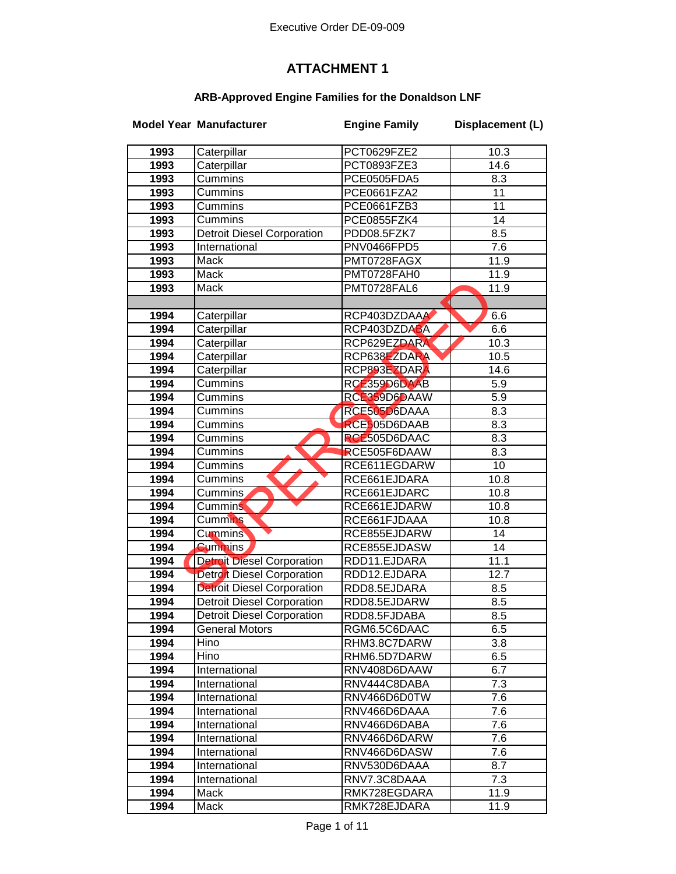## **ATTACHMENT 1**

## **ARB-Approved Engine Families for the Donaldson LNF**

|      | <b>Model Year Manufacturer</b>    | <b>Engine Family</b> | Displacement (L) |
|------|-----------------------------------|----------------------|------------------|
| 1993 | Caterpillar                       | PCT0629FZE2          | 10.3             |
| 1993 | Caterpillar                       | PCT0893FZE3          | 14.6             |
| 1993 | Cummins                           | PCE0505FDA5          | 8.3              |
| 1993 | <b>Cummins</b>                    | PCE0661FZA2          | 11               |
| 1993 | Cummins                           | PCE0661FZB3          | 11               |
| 1993 | Cummins                           | PCE0855FZK4          | 14               |
| 1993 | <b>Detroit Diesel Corporation</b> | PDD08.5FZK7          | 8.5              |
| 1993 | International                     | PNV0466FPD5          | 7.6              |
| 1993 | Mack                              | PMT0728FAGX          | 11.9             |
| 1993 | Mack                              | PMT0728FAH0          | 11.9             |
| 1993 | Mack                              | PMT0728FAL6          | 11.9             |
|      |                                   |                      |                  |
| 1994 | Caterpillar                       | RCP403DZDAAA         | 6.6              |
| 1994 | Caterpillar                       | RCP403DZDABA         | 6.6              |
| 1994 | Caterpillar                       | RCP629EZDARA         | 10.3             |
| 1994 | Caterpillar                       | RCP638EZDARA         | 10.5             |
| 1994 | Caterpillar                       | RCP893EZDARA         | 14.6             |
| 1994 | Cummins                           | RCE359D6DAAB         | 5.9              |
| 1994 | Cummins                           | RCE359D6DAAW         | 5.9              |
| 1994 | Cummins                           | RCE505D6DAAA         | 8.3              |
| 1994 | Cummins                           | RCE505D6DAAB         | 8.3              |
| 1994 | Cummins                           | <b>RCE505D6DAAC</b>  | 8.3              |
| 1994 | Cummins                           | RCE505F6DAAW         | 8.3              |
| 1994 | Cummins                           | RCE611EGDARW         | $\overline{10}$  |
| 1994 | Cummins                           | RCE661EJDARA         | 10.8             |
| 1994 | Cummins                           | RCE661EJDARC         | 10.8             |
| 1994 | <b>Cummins</b>                    | RCE661EJDARW         | 10.8             |
| 1994 | <b>Cummins</b>                    | RCE661FJDAAA         | 10.8             |
| 1994 | <b>Cummins</b>                    | RCE855EJDARW         | 14               |
| 1994 | <b>Cummins</b>                    | RCE855EJDASW         | 14               |
| 1994 | <b>Detroit Diesel Corporation</b> | RDD11.EJDARA         | 11.1             |
| 1994 | Detroit Diesel Corporation        | RDD12.EJDARA         | 12.7             |
| 1994 | <b>Detroit Diesel Corporation</b> | RDD8.5EJDARA         | 8.5              |
| 1994 | <b>Detroit Diesel Corporation</b> | RDD8.5EJDARW         | 8.5              |
| 1994 | Detroit Diesel Corporation        | RDD8.5FJDABA         | 8.5              |
| 1994 | <b>General Motors</b>             | RGM6.5C6DAAC         | 6.5              |
| 1994 | Hino                              | RHM3.8C7DARW         | 3.8              |
| 1994 | Hino                              | RHM6.5D7DARW         | 6.5              |
| 1994 | International                     | RNV408D6DAAW         | 6.7              |
| 1994 | International                     | RNV444C8DABA         | 7.3              |
| 1994 | International                     | RNV466D6D0TW         | 7.6              |
| 1994 | International                     | RNV466D6DAAA         | 7.6              |
| 1994 | International                     | RNV466D6DABA         | 7.6              |
| 1994 | International                     | RNV466D6DARW         | 7.6              |
| 1994 | International                     | RNV466D6DASW         | 7.6              |
| 1994 | International                     | RNV530D6DAAA         | 8.7              |
| 1994 | International                     | RNV7.3C8DAAA         | 7.3              |
| 1994 | Mack                              | RMK728EGDARA         | 11.9             |
| 1994 | Mack                              | RMK728EJDARA         | 11.9             |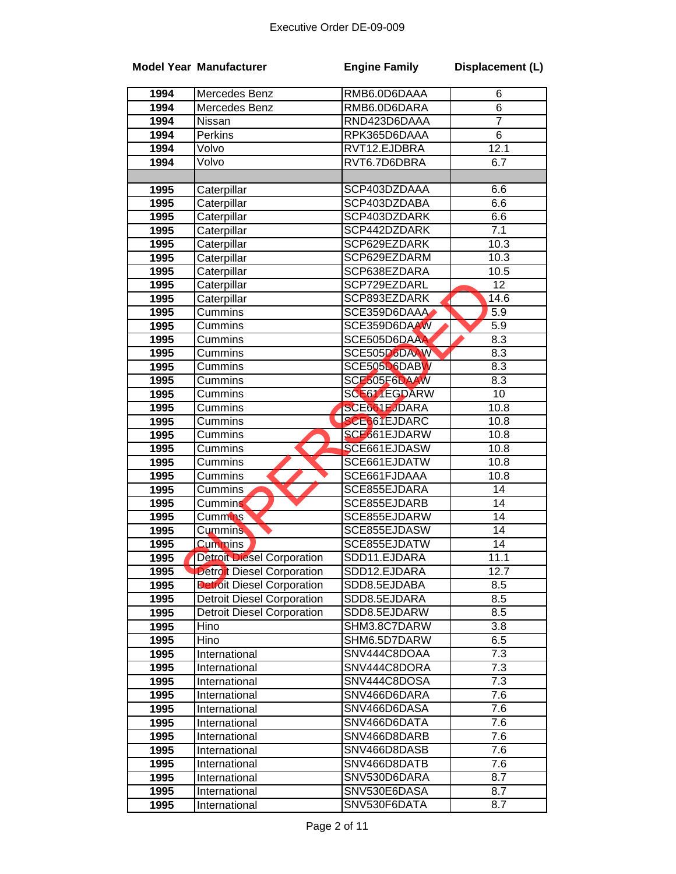|      | <b>Model Year Manufacturer</b>    | <b>Engine Family</b> | Displacement (L) |
|------|-----------------------------------|----------------------|------------------|
| 1994 | Mercedes Benz                     | RMB6.0D6DAAA         | 6                |
| 1994 | Mercedes Benz                     | RMB6.0D6DARA         | 6                |
| 1994 | Nissan                            | RND423D6DAAA         | $\overline{7}$   |
| 1994 | Perkins                           | RPK365D6DAAA         | $\overline{6}$   |
| 1994 | Volvo                             | RVT12.EJDBRA         | 12.1             |
| 1994 | Volvo                             | RVT6.7D6DBRA         | 6.7              |
|      |                                   |                      |                  |
| 1995 | Caterpillar                       | SCP403DZDAAA         | 6.6              |
| 1995 | Caterpillar                       | SCP403DZDABA         | 6.6              |
| 1995 | Caterpillar                       | SCP403DZDARK         | 6.6              |
| 1995 | Caterpillar                       | SCP442DZDARK         | 7.1              |
| 1995 | Caterpillar                       | SCP629EZDARK         | 10.3             |
| 1995 | Caterpillar                       | SCP629EZDARM         | 10.3             |
| 1995 | Caterpillar                       | SCP638EZDARA         | 10.5             |
| 1995 | Caterpillar                       | SCP729EZDARL         | 12               |
| 1995 | Caterpillar                       | SCP893EZDARK         | 14.6             |
| 1995 | Cummins                           | SCE359D6DAAA         | 5.9              |
| 1995 | Cummins                           | SCE359D6DAAW         | 5.9              |
| 1995 | Cummins                           | SCE505D6DAAA         | 8.3              |
| 1995 | Cummins                           | SCE505D6DAAW         | 8.3              |
| 1995 | Cummins                           | SCE505D6DABW         | 8.3              |
| 1995 | Cummins                           | SCE505F6DAAW         | 8.3              |
| 1995 | Cummins                           | SCE611EGDARW         | 10               |
| 1995 | Cummins                           | <b>SCE661EJDARA</b>  | 10.8             |
| 1995 | Cummins                           | <b>SCE661EJDARC</b>  | 10.8             |
| 1995 | Cummins                           | SCE661EJDARW         | 10.8             |
| 1995 | Cummins                           | SCE661EJDASW         | 10.8             |
| 1995 | Cummins                           | SCE661EJDATW         | 10.8             |
| 1995 | Cummins                           | SCE661FJDAAA         | 10.8             |
| 1995 | Cummins                           | SCE855EJDARA         | $\overline{14}$  |
| 1995 | <b>Cummins</b>                    | SCE855EJDARB         | $\overline{14}$  |
| 1995 | Cummins                           | SCE855EJDARW         | 14               |
| 1995 | <b>Cummins</b>                    | SCE855EJDASW         | 14               |
| 1995 | <b>Cummins</b>                    | SCE855EJDATW         | 14               |
| 1995 | <b>Detroit Diesel Corporation</b> | SDD11.EJDARA         | 11.1             |
| 1995 | <b>Detroit Diesel Corporation</b> | SDD12.EJDARA         | 12.7             |
| 1995 | <b>Detroit Diesel Corporation</b> | SDD8.5EJDABA         | 8.5              |
| 1995 | <b>Detroit Diesel Corporation</b> | SDD8.5EJDARA         | 8.5              |
| 1995 | <b>Detroit Diesel Corporation</b> | SDD8.5EJDARW         | 8.5              |
| 1995 | Hino                              | SHM3.8C7DARW         | 3.8              |
| 1995 | Hino                              | SHM6.5D7DARW         | 6.5              |
| 1995 | International                     | SNV444C8DOAA         | 7.3              |
| 1995 | International                     | SNV444C8DORA         | $\overline{7.3}$ |
| 1995 | International                     | SNV444C8DOSA         | $\overline{7.3}$ |
| 1995 | International                     | SNV466D6DARA         | 7.6              |
| 1995 | International                     | SNV466D6DASA         | 7.6              |
| 1995 | International                     | SNV466D6DATA         | 7.6              |
| 1995 | International                     | SNV466D8DARB         | 7.6              |
| 1995 | International                     | SNV466D8DASB         | 7.6              |
| 1995 | International                     | SNV466D8DATB         | 7.6              |
| 1995 | International                     | SNV530D6DARA         | 8.7              |
| 1995 | International                     | SNV530E6DASA         | 8.7              |
| 1995 | International                     | SNV530F6DATA         | 8.7              |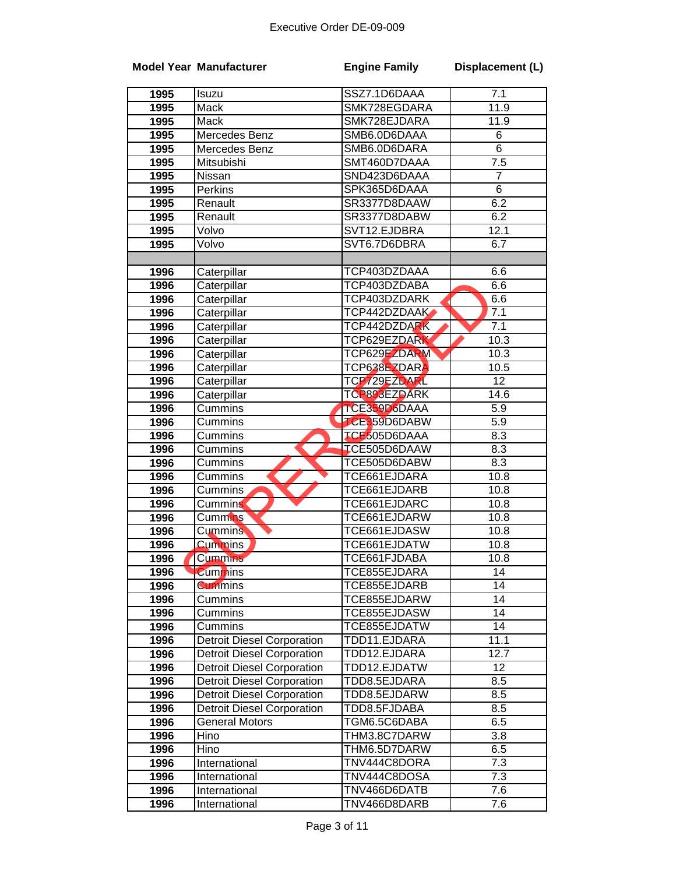|      | <b>Model Year Manufacturer</b>    | <b>Engine Family</b> | Displacement (L) |
|------|-----------------------------------|----------------------|------------------|
| 1995 | Isuzu                             | SSZ7.1D6DAAA         | 7.1              |
| 1995 | Mack                              | SMK728EGDARA         | 11.9             |
| 1995 | Mack                              | SMK728EJDARA         | 11.9             |
| 1995 | Mercedes Benz                     | SMB6.0D6DAAA         | 6                |
| 1995 | Mercedes Benz                     | SMB6.0D6DARA         | 6                |
| 1995 | Mitsubishi                        | SMT460D7DAAA         | $\overline{7.5}$ |
| 1995 | Nissan                            | SND423D6DAAA         | $\overline{7}$   |
| 1995 | Perkins                           | SPK365D6DAAA         | $\overline{6}$   |
| 1995 | Renault                           | SR3377D8DAAW         | 6.2              |
| 1995 | Renault                           | SR3377D8DABW         | 6.2              |
| 1995 | Volvo                             | SVT12.EJDBRA         | 12.1             |
| 1995 | Volvo                             | SVT6.7D6DBRA         | 6.7              |
| 1996 | Caterpillar                       | TCP403DZDAAA         | 6.6              |
| 1996 | Caterpillar                       | TCP403DZDABA         | 6.6              |
| 1996 | Caterpillar                       | TCP403DZDARK         | 6.6              |
| 1996 | Caterpillar                       | TCP442DZDAAK         | 7.1              |
| 1996 | Caterpillar                       | TCP442DZDARK         | 7.1              |
| 1996 | Caterpillar                       | TCP629EZDARK         | 10.3             |
| 1996 | Caterpillar                       | TCP629EZDARM         | 10.3             |
| 1996 | Caterpillar                       | TCP638EZDARA         | 10.5             |
| 1996 | Caterpillar                       | TCP729EZDARL         | $\overline{12}$  |
| 1996 | Caterpillar                       | TCP893EZDARK         | 14.6             |
| 1996 | Cummins                           | TCE359D6DAAA         | 5.9              |
| 1996 | Cummins                           | TCE359D6DABW         | $\overline{5.9}$ |
| 1996 | Cummins                           | <b>TCE505D6DAAA</b>  | 8.3              |
| 1996 | Cummins                           | <b>TCE505D6DAAW</b>  | 8.3              |
| 1996 | Cummins                           | TCE505D6DABW         | 8.3              |
| 1996 | Cummins                           | TCE661EJDARA         | 10.8             |
| 1996 | Cummins                           | TCE661EJDARB         | 10.8             |
| 1996 | <b>Cummins</b>                    | TCE661EJDARC         | 10.8             |
| 1996 | Cummins                           | TCE661EJDARW         | 10.8             |
| 1996 | <b>Cummins</b>                    | TCE661EJDASW         | 10.8             |
| 1996 | <b>Cummins</b>                    | TCE661EJDATW         | 10.8             |
| 1996 | Cummins                           | TCE661FJDABA         | 10.8             |
| 1996 | <b>Cummins</b>                    | TCE855EJDARA         | 14               |
| 1996 | <b>Cummins</b>                    | TCE855EJDARB         | 14               |
| 1996 | Cummins                           | TCE855EJDARW         | 14               |
| 1996 | Cummins                           | TCE855EJDASW         | 14               |
| 1996 | Cummins                           | TCE855EJDATW         | 14               |
| 1996 | <b>Detroit Diesel Corporation</b> | TDD11.EJDARA         | 11.1             |
| 1996 | <b>Detroit Diesel Corporation</b> | TDD12.EJDARA         | 12.7             |
| 1996 | <b>Detroit Diesel Corporation</b> | TDD12.EJDATW         | 12               |
| 1996 | <b>Detroit Diesel Corporation</b> | TDD8.5EJDARA         | 8.5              |
| 1996 | <b>Detroit Diesel Corporation</b> | TDD8.5EJDARW         | 8.5              |
| 1996 | <b>Detroit Diesel Corporation</b> | TDD8.5FJDABA         | 8.5              |
| 1996 | <b>General Motors</b>             | TGM6.5C6DABA         | 6.5              |
| 1996 | Hino                              | THM3.8C7DARW         | 3.8              |
| 1996 | Hino                              | THM6.5D7DARW         | 6.5              |
| 1996 | International                     | TNV444C8DORA         | 7.3              |
| 1996 | International                     | TNV444C8DOSA         | 7.3              |
| 1996 | International                     | TNV466D6DATB         | 7.6              |
| 1996 | International                     | TNV466D8DARB         | 7.6              |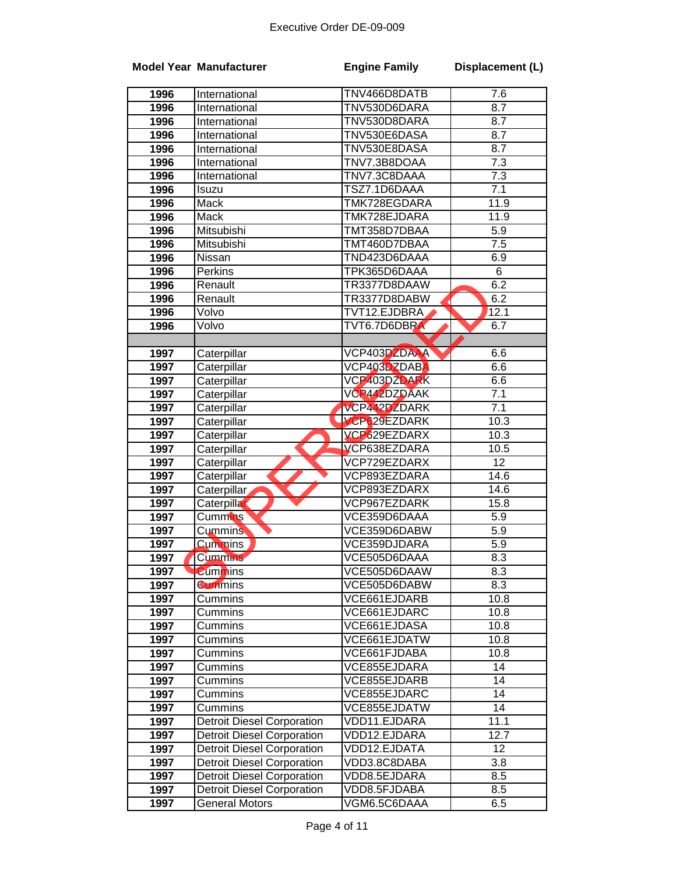|      | <b>Model Year Manufacturer</b>    | <b>Engine Family</b>       | Displacement (L) |
|------|-----------------------------------|----------------------------|------------------|
| 1996 | International                     | TNV466D8DATB               | 7.6              |
| 1996 | International                     | TNV530D6DARA               | 8.7              |
| 1996 | International                     | TNV530D8DARA               | 8.7              |
| 1996 | International                     | TNV530E6DASA               | 8.7              |
| 1996 | International                     | TNV530E8DASA               | 8.7              |
| 1996 | International                     | TNV7.3B8DOAA               | 7.3              |
| 1996 | International                     | TNV7.3C8DAAA               | 7.3              |
| 1996 | Isuzu                             | TSZ7.1D6DAAA               | 7.1              |
| 1996 | Mack                              | TMK728EGDARA               | 11.9             |
| 1996 | Mack                              | TMK728EJDARA               | 11.9             |
| 1996 | Mitsubishi                        | TMT358D7DBAA               | 5.9              |
| 1996 | Mitsubishi                        | TMT460D7DBAA               | $\overline{7.5}$ |
| 1996 | Nissan                            | TND423D6DAAA               | 6.9              |
| 1996 | Perkins                           | TPK365D6DAAA               | $\overline{6}$   |
| 1996 | Renault                           | TR3377D8DAAW               | 6.2              |
| 1996 | Renault                           | TR3377D8DABW               | 6.2              |
| 1996 | Volvo                             | TVT12.EJDBRA               | 12.1             |
| 1996 | Volvo                             | TVT6.7D6DBRA               | 6.7              |
|      |                                   |                            |                  |
| 1997 | Caterpillar                       | VCP403DZDAAA               | 6.6              |
| 1997 | Caterpillar                       | VCP403DZDAB <mark>A</mark> | 6.6              |
| 1997 | Caterpillar                       | VCP403DZDARK               | 6.6              |
| 1997 | Caterpillar                       | VCP442DZDAAK               | 7.1              |
| 1997 | Caterpillar                       | VCP442DZDARK               | 7.1              |
| 1997 | Caterpillar                       | <b>VCP629EZDARK</b>        | 10.3             |
| 1997 | Caterpillar                       | VCP629EZDARX               | 10.3             |
| 1997 | Caterpillar                       | VCP638EZDARA               | 10.5             |
| 1997 | Caterpillar                       | VCP729EZDARX               | $\overline{12}$  |
| 1997 | Caterpillar                       | VCP893EZDARA               | 14.6             |
| 1997 | Caterpillar                       | VCP893EZDARX               | 14.6             |
| 1997 | Caterpillar                       | VCP967EZDARK               | 15.8             |
| 1997 | Cummins <sup>®</sup>              | VCE359D6DAAA               | $\overline{5.9}$ |
| 1997 | <b>Cummins</b>                    | VCE359D6DABW               | 5.9              |
| 1997 | <b>Cummins</b>                    | VCE359DJDARA               | 5.9              |
| 1997 | Cummins                           | VCE505D6DAAA               | 8.3              |
| 1997 | <b>Cummins</b>                    | VCE505D6DAAW               | 8.3              |
| 1997 | <b>Cummins</b>                    | VCE505D6DABW               | 8.3              |
| 1997 | Cummins                           | VCE661EJDARB               | 10.8             |
| 1997 | Cummins                           | VCE661EJDARC               | 10.8             |
| 1997 | Cummins                           | VCE661EJDASA               | 10.8             |
| 1997 | Cummins                           | VCE661EJDATW               | 10.8             |
| 1997 | Cummins                           | VCE661FJDABA               | 10.8             |
| 1997 | Cummins                           | VCE855EJDARA               | 14               |
| 1997 | Cummins                           | VCE855EJDARB               | $\overline{14}$  |
| 1997 | Cummins                           | VCE855EJDARC               | $\overline{14}$  |
| 1997 | Cummins                           | VCE855EJDATW               | 14               |
| 1997 | <b>Detroit Diesel Corporation</b> | VDD11.EJDARA               | 11.1             |
| 1997 | <b>Detroit Diesel Corporation</b> | VDD12.EJDARA               | 12.7             |
| 1997 | <b>Detroit Diesel Corporation</b> | VDD12.EJDATA               | 12               |
| 1997 | <b>Detroit Diesel Corporation</b> | VDD3.8C8DABA               | 3.8              |
| 1997 | <b>Detroit Diesel Corporation</b> | VDD8.5EJDARA               | 8.5              |
| 1997 | Detroit Diesel Corporation        | VDD8.5FJDABA               | 8.5              |
| 1997 | <b>General Motors</b>             | VGM6.5C6DAAA               | 6.5              |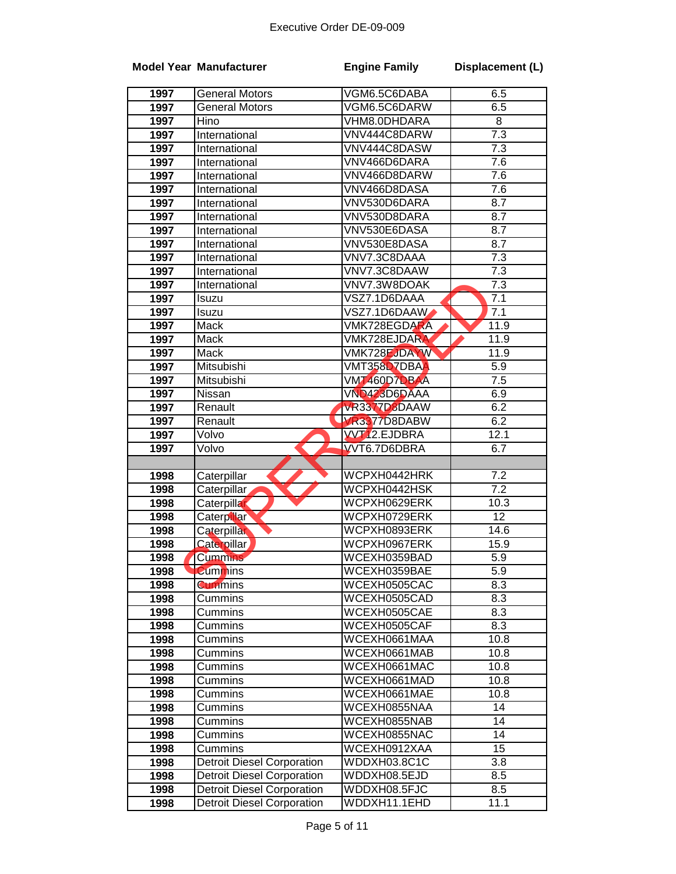|      | <b>Model Year Manufacturer</b>    | <b>Engine Family</b>       | Displacement (L) |
|------|-----------------------------------|----------------------------|------------------|
| 1997 | <b>General Motors</b>             | VGM6.5C6DABA               | 6.5              |
| 1997 | <b>General Motors</b>             | VGM6.5C6DARW               | 6.5              |
| 1997 | Hino                              | VHM8.0DHDARA               | 8                |
| 1997 | International                     | VNV444C8DARW               | $\overline{7.3}$ |
| 1997 | International                     | VNV444C8DASW               | $7.\overline{3}$ |
| 1997 | International                     | VNV466D6DARA               | 7.6              |
| 1997 | International                     | VNV466D8DARW               | 7.6              |
| 1997 | International                     | VNV466D8DASA               | 7.6              |
| 1997 | International                     | VNV530D6DARA               | 8.7              |
| 1997 | International                     | VNV530D8DARA               | 8.7              |
| 1997 | International                     | VNV530E6DASA               | 8.7              |
| 1997 | International                     | VNV530E8DASA               | 8.7              |
| 1997 | International                     | VNV7.3C8DAAA               | $\overline{7.3}$ |
| 1997 | International                     | VNV7.3C8DAAW               | $\overline{7.3}$ |
| 1997 | International                     | VNV7.3W8DOAK               | $\overline{7.3}$ |
| 1997 | Isuzu                             | VSZ7.1D6DAAA               | 7.1              |
| 1997 | Isuzu                             | VSZ7.1D6DAAW               | 7.1              |
| 1997 | Mack                              | VMK728EGDARA               | 11.9             |
| 1997 | Mack                              | VMK728EJDARA               | 11.9             |
| 1997 | <b>Mack</b>                       | <b>VMK728EJDAYW</b>        | 11.9             |
| 1997 | Mitsubishi                        | VMT358D7DBA <mark>A</mark> | 5.9              |
| 1997 | Mitsubishi                        | VMT460D7DBAA               | 7.5              |
| 1997 | Nissan                            | VND423D6DAAA               | 6.9              |
| 1997 | Renault                           | <b>VR3377D8DAAW</b>        | 6.2              |
| 1997 | Renault                           | VR3377D8DABW               | 6.2              |
| 1997 | Volvo                             | <b>WT12.EJDBRA</b>         | 12.1             |
| 1997 | Volvo                             | VVT6.7D6DBRA               | 6.7              |
|      |                                   |                            |                  |
| 1998 | Caterpillar                       | WCPXH0442HRK               | 7.2              |
| 1998 | Caterpillar                       | WCPXH0442HSK               | $\overline{7.2}$ |
| 1998 | Caterpillar                       | WCPXH0629ERK               | 10.3             |
| 1998 | <b>Caterpillar</b>                | WCPXH0729ERK               | 12               |
| 1998 | Caterpillar                       | WCPXH0893ERK               | 14.6             |
| 1998 | <b>Caterpillar</b>                | WCPXH0967ERK               | 15.9             |
| 1998 | <b>Cummins</b>                    | WCEXH0359BAD               | 5.9              |
| 1998 | <b>Cummins</b>                    | WCEXH0359BAE               | 5.9              |
| 1998 | <b>Cummins</b>                    | WCEXH0505CAC               | 8.3              |
| 1998 | Cummins                           | WCEXH0505CAD               | 8.3              |
| 1998 | Cummins                           | WCEXH0505CAE               | 8.3              |
| 1998 | Cummins                           | WCEXH0505CAF               | 8.3              |
| 1998 | Cummins                           | WCEXH0661MAA               | 10.8             |
| 1998 | Cummins                           | WCEXH0661MAB               | 10.8             |
| 1998 | Cummins                           | WCEXH0661MAC               | 10.8             |
| 1998 | Cummins                           | WCEXH0661MAD               | 10.8             |
| 1998 | Cummins                           | WCEXH0661MAE               | 10.8             |
| 1998 | Cummins                           | WCEXH0855NAA               | 14               |
| 1998 | Cummins                           | WCEXH0855NAB               | 14               |
| 1998 | Cummins                           | WCEXH0855NAC               | 14               |
| 1998 | Cummins                           | WCEXH0912XAA               | $\overline{15}$  |
| 1998 | <b>Detroit Diesel Corporation</b> | WDDXH03.8C1C               | 3.8              |
| 1998 | <b>Detroit Diesel Corporation</b> | WDDXH08.5EJD               | 8.5              |
| 1998 | <b>Detroit Diesel Corporation</b> | WDDXH08.5FJC               | 8.5              |
| 1998 | <b>Detroit Diesel Corporation</b> | WDDXH11.1EHD               | 11.1             |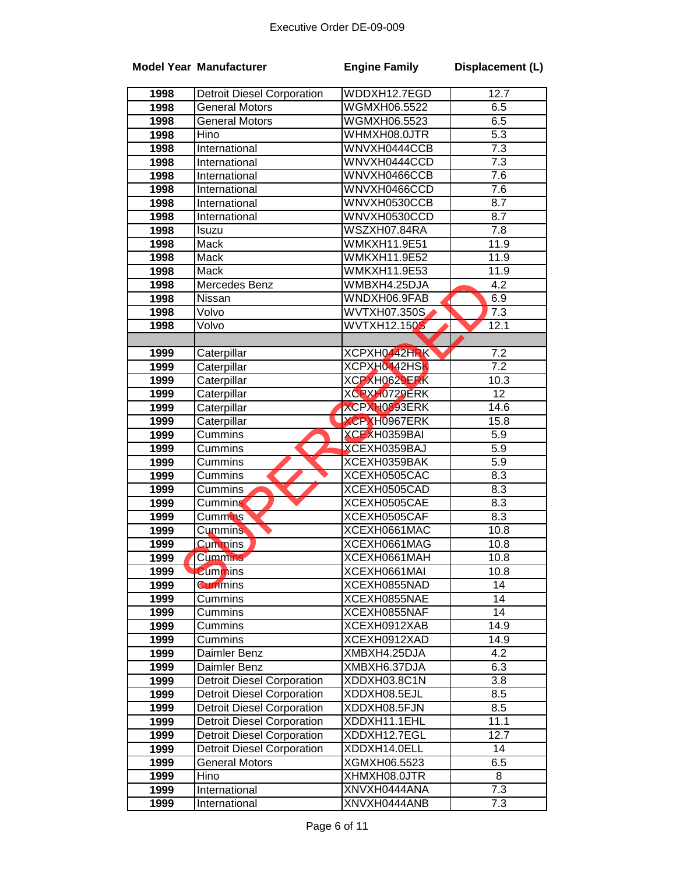|      | <b>Model Year Manufacturer</b>    | <b>Engine Family</b> | Displacement (L) |
|------|-----------------------------------|----------------------|------------------|
| 1998 | <b>Detroit Diesel Corporation</b> | WDDXH12.7EGD         | 12.7             |
| 1998 | <b>General Motors</b>             | WGMXH06.5522         | 6.5              |
| 1998 | <b>General Motors</b>             | WGMXH06.5523         | 6.5              |
| 1998 | Hino                              | WHMXH08.0JTR         | $\overline{5.3}$ |
| 1998 | International                     | WNVXH0444CCB         | 7.3              |
| 1998 | International                     | WNVXH0444CCD         | 7.3              |
| 1998 | International                     | WNVXH0466CCB         | 7.6              |
| 1998 | International                     | WNVXH0466CCD         | 7.6              |
| 1998 | International                     | WNVXH0530CCB         | 8.7              |
| 1998 | International                     | WNVXH0530CCD         | $\overline{8.7}$ |
| 1998 | Isuzu                             | WSZXH07.84RA         | $\overline{7.8}$ |
| 1998 | Mack                              | <b>WMKXH11.9E51</b>  | 11.9             |
| 1998 | Mack                              | <b>WMKXH11.9E52</b>  | 11.9             |
| 1998 | Mack                              | WMKXH11.9E53         | 11.9             |
| 1998 | Mercedes Benz                     | WMBXH4.25DJA         | $\overline{4.2}$ |
| 1998 | Nissan                            | WNDXH06.9FAB         | 6.9              |
| 1998 | Volvo                             | WVTXH07.350S         | 7.3              |
| 1998 | Volvo                             | <b>WVTXH12.150S</b>  | 12.1             |
|      |                                   |                      |                  |
| 1999 | Caterpillar                       | XCPXH0442HRK         | $7.\overline{2}$ |
| 1999 | Caterpillar                       | XCPXH0442HSK         | $\overline{7.2}$ |
| 1999 | Caterpillar                       | XCPXH0629ERK         | 10.3             |
| 1999 | Caterpillar                       | XCPXH0729ERK         | $\overline{12}$  |
| 1999 | Caterpillar                       | XCPXH0893ERK         | 14.6             |
| 1999 | Caterpillar                       | <b>XCPXH0967ERK</b>  | 15.8             |
| 1999 | Cummins                           | XCEXH0359BAI         | 5.9              |
| 1999 | Cummins                           | XCEXH0359BAJ         | 5.9              |
| 1999 | Cummins                           | XCEXH0359BAK         | $\overline{5.9}$ |
| 1999 | Cummins                           | XCEXH0505CAC         | $\overline{8.3}$ |
| 1999 | Cummins                           | XCEXH0505CAD         | 8.3              |
| 1999 | <b>Cummins</b>                    | XCEXH0505CAE         | 8.3              |
| 1999 | Cummins                           | XCEXH0505CAF         | 8.3              |
| 1999 | Cummins                           | XCEXH0661MAC         | 10.8             |
| 1999 | <b>Cummins</b>                    | XCEXH0661MAG         | 10.8             |
| 1999 | <b>Cummins</b>                    | XCEXH0661MAH         | 10.8             |
| 1999 | <b>Cummins</b>                    | XCEXH0661MAI         | 10.8             |
| 1999 | <b>Cummins</b>                    | XCEXH0855NAD         | 14               |
| 1999 | Cummins                           | XCEXH0855NAE         | 14               |
| 1999 | Cummins                           | XCEXH0855NAF         | 14               |
| 1999 | Cummins                           | XCEXH0912XAB         | 14.9             |
| 1999 | Cummins                           | XCEXH0912XAD         | 14.9             |
| 1999 | Daimler Benz                      | XMBXH4.25DJA         | $\overline{4.2}$ |
| 1999 | Daimler Benz                      | XMBXH6.37DJA         | 6.3              |
| 1999 | Detroit Diesel Corporation        | XDDXH03.8C1N         | 3.8              |
| 1999 | <b>Detroit Diesel Corporation</b> | XDDXH08.5EJL         | 8.5              |
| 1999 | <b>Detroit Diesel Corporation</b> | XDDXH08.5FJN         | 8.5              |
| 1999 | <b>Detroit Diesel Corporation</b> | XDDXH11.1EHL         | 11.1             |
| 1999 | <b>Detroit Diesel Corporation</b> | XDDXH12.7EGL         | 12.7             |
| 1999 | <b>Detroit Diesel Corporation</b> | XDDXH14.0ELL         | 14               |
| 1999 | <b>General Motors</b>             | XGMXH06.5523         | 6.5              |
| 1999 | Hino                              | XHMXH08.0JTR         | 8                |
| 1999 | International                     | XNVXH0444ANA         | 7.3              |
| 1999 | International                     | XNVXH0444ANB         | 7.3              |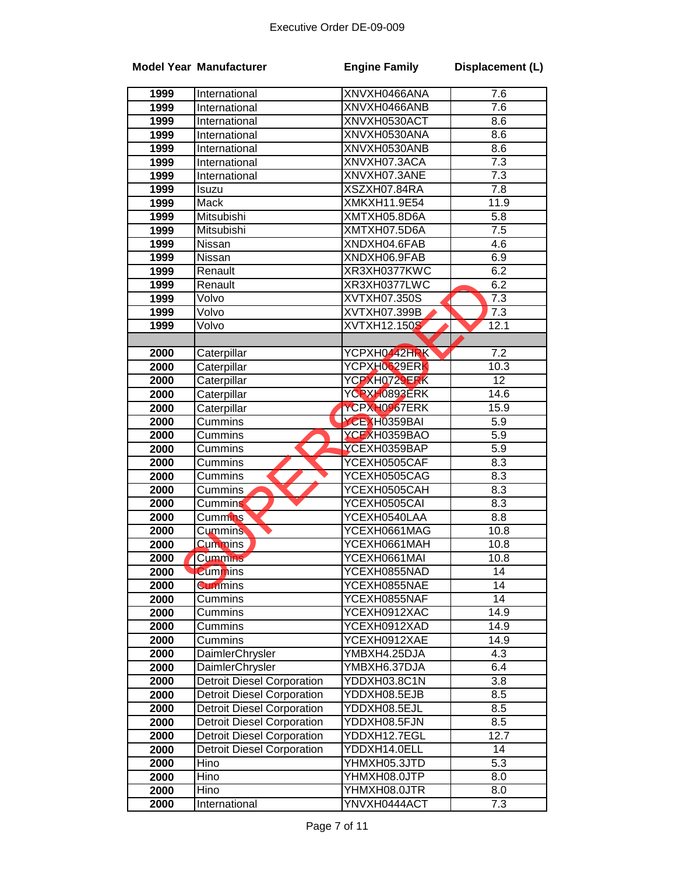|      | <b>Model Year Manufacturer</b>    | <b>Engine Family</b> | Displacement (L) |
|------|-----------------------------------|----------------------|------------------|
| 1999 | International                     | XNVXH0466ANA         | 7.6              |
| 1999 | International                     | XNVXH0466ANB         | 7.6              |
| 1999 | International                     | XNVXH0530ACT         | 8.6              |
| 1999 | International                     | XNVXH0530ANA         | 8.6              |
| 1999 | International                     | XNVXH0530ANB         | 8.6              |
| 1999 | International                     | XNVXH07.3ACA         | 7.3              |
| 1999 | International                     | XNVXH07.3ANE         | 7.3              |
| 1999 | Isuzu                             | XSZXH07.84RA         | 7.8              |
| 1999 | Mack                              | XMKXH11.9E54         | 11.9             |
| 1999 | Mitsubishi                        | XMTXH05.8D6A         | 5.8              |
| 1999 | Mitsubishi                        | XMTXH07.5D6A         | 7.5              |
| 1999 | Nissan                            | XNDXH04.6FAB         | 4.6              |
| 1999 | Nissan                            | XNDXH06.9FAB         | 6.9              |
| 1999 | Renault                           | XR3XH0377KWC         | 6.2              |
| 1999 | Renault                           | XR3XH0377LWC         | 6.2              |
| 1999 | Volvo                             | <b>XVTXH07.350S</b>  | $\overline{7.3}$ |
| 1999 | Volvo                             | <b>XVTXH07.399B</b>  | $\overline{7.3}$ |
| 1999 | Volvo                             | <b>XVTXH12.150S</b>  | 12.1             |
|      |                                   |                      |                  |
| 2000 | Caterpillar                       | YCPXH0442HRK         | $\overline{7.2}$ |
| 2000 | Caterpillar                       | YCPXH0629ERK         | 10.3             |
| 2000 | Caterpillar                       | YCPXH0729ERK         | 12               |
| 2000 | Caterpillar                       | YCPXH0893ERK         | 14.6             |
| 2000 | Caterpillar                       | YCPXH0967ERK         | 15.9             |
| 2000 | Cummins                           | YCEXH0359BAI         | $\overline{5.9}$ |
| 2000 | Cummins                           | YCEXH0359BAO         | $\overline{5.9}$ |
| 2000 | Cummins                           | YCEXH0359BAP         | $\overline{5.9}$ |
| 2000 | Cummins                           | YCEXH0505CAF         | 8.3              |
| 2000 | Cummins                           | YCEXH0505CAG         | 8.3              |
| 2000 | Cummins                           | YCEXH0505CAH         | 8.3              |
| 2000 | Cummins                           | YCEXH0505CAI         | 8.3              |
| 2000 | Cummins                           | YCEXH0540LAA         | 8.8              |
| 2000 | <b>Cummins</b>                    | YCEXH0661MAG         | 10.8             |
| 2000 | <b>Cummins</b>                    | YCEXH0661MAH         | 10.8             |
| 2000 | Cummins <sup>®</sup>              | YCEXH0661MAI         | 10.8             |
| 2000 | <b>Cummins</b>                    | YCEXH0855NAD         | 14               |
| 2000 | <b>Cummins</b>                    | YCEXH0855NAE         | 14               |
| 2000 | Cummins                           | YCEXH0855NAF         | 14               |
| 2000 | Cummins                           | YCEXH0912XAC         | 14.9             |
| 2000 | Cummins                           | YCEXH0912XAD         | 14.9             |
| 2000 | Cummins                           | YCEXH0912XAE         | 14.9             |
| 2000 | DaimlerChrysler                   | YMBXH4.25DJA         | 4.3              |
| 2000 | DaimlerChrysler                   | YMBXH6.37DJA         | 6.4              |
| 2000 | <b>Detroit Diesel Corporation</b> | YDDXH03.8C1N         | 3.8              |
| 2000 | <b>Detroit Diesel Corporation</b> | YDDXH08.5EJB         | 8.5              |
| 2000 | <b>Detroit Diesel Corporation</b> | YDDXH08.5EJL         | 8.5              |
| 2000 | <b>Detroit Diesel Corporation</b> | YDDXH08.5FJN         | 8.5              |
| 2000 | <b>Detroit Diesel Corporation</b> | YDDXH12.7EGL         | 12.7             |
| 2000 | <b>Detroit Diesel Corporation</b> | YDDXH14.0ELL         | 14               |
| 2000 | Hino                              | YHMXH05.3JTD         | $\overline{5.3}$ |
| 2000 | Hino                              | YHMXH08.0JTP         | 8.0              |
| 2000 | Hino                              | YHMXH08.0JTR         | 8.0              |
| 2000 | International                     | YNVXH0444ACT         | 7.3              |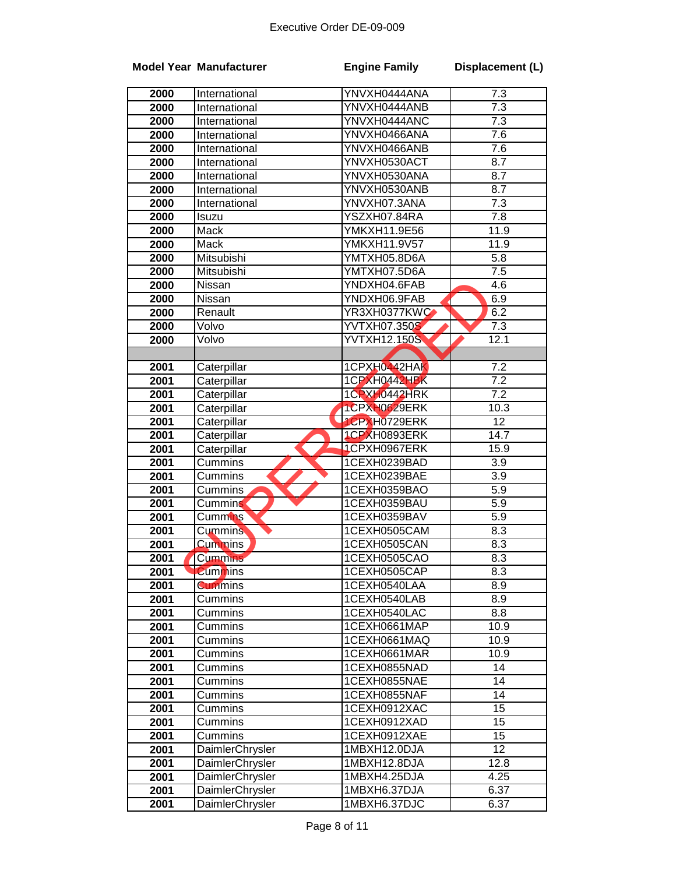|      | <b>Model Year Manufacturer</b> | <b>Engine Family</b> | Displacement (L)  |
|------|--------------------------------|----------------------|-------------------|
| 2000 | International                  | YNVXH0444ANA         | 7.3               |
| 2000 | International                  | YNVXH0444ANB         | 7.3               |
| 2000 | International                  | YNVXH0444ANC         | 7.3               |
| 2000 | International                  | YNVXH0466ANA         | 7.6               |
| 2000 | International                  | YNVXH0466ANB         | 7.6               |
| 2000 | International                  | YNVXH0530ACT         | 8.7               |
| 2000 | International                  | YNVXH0530ANA         | 8.7               |
| 2000 | International                  | YNVXH0530ANB         | 8.7               |
| 2000 | International                  | YNVXH07.3ANA         | 7.3               |
| 2000 | Isuzu                          | YSZXH07.84RA         | 7.8               |
| 2000 | Mack                           | YMKXH11.9E56         | 11.9              |
| 2000 | Mack                           | YMKXH11.9V57         | 11.9              |
| 2000 | Mitsubishi                     | YMTXH05.8D6A         | 5.8               |
| 2000 | Mitsubishi                     | YMTXH07.5D6A         | $\overline{7.5}$  |
| 2000 | <b>Nissan</b>                  | YNDXH04.6FAB         | 4.6               |
| 2000 | Nissan                         | YNDXH06.9FAB         | 6.9               |
| 2000 | Renault                        | YR3XH0377KWC         | 6.2               |
| 2000 | Volvo                          | YVTXH07.350S         | 7.3               |
| 2000 | Volvo                          | <b>YVTXH12.150S</b>  | 12.1              |
|      |                                |                      |                   |
| 2001 | Caterpillar                    | 1CPXH0442HAK         | 7.2               |
| 2001 | Caterpillar                    | 1CPXH0442HBK         | $\overline{7.2}$  |
| 2001 | Caterpillar                    | 1CPXH0442HRK         | $\overline{7.2}$  |
| 2001 | Caterpillar                    | 1CPXH0629ERK         | 10.3              |
| 2001 | Caterpillar                    | <b>ICPXH0729ERK</b>  | $\overline{12}$   |
| 2001 | Caterpillar                    | 1CPXH0893ERK         | $\overline{14.7}$ |
| 2001 | Caterpillar                    | 1CPXH0967ERK         | 15.9              |
| 2001 | Cummins                        | 1CEXH0239BAD         | 3.9               |
| 2001 | Cummins                        | 1CEXH0239BAE         | 3.9               |
| 2001 | Cummins                        | 1CEXH0359BAO         | 5.9               |
| 2001 | Cummins                        | 1CEXH0359BAU         | 5.9               |
| 2001 | Cummins                        | 1CEXH0359BAV         | 5.9               |
| 2001 | <b>Cummins</b>                 | 1CEXH0505CAM         | 8.3               |
| 2001 | <b>Cummins</b>                 | 1CEXH0505CAN         | 8.3               |
| 2001 | <b>Cummins</b>                 | 1CEXH0505CAO         | 8.3               |
| 2001 | <b>Cummins</b>                 | 1CEXH0505CAP         | 8.3               |
| 2001 | <b>Cummins</b>                 | 1CEXH0540LAA         | 8.9               |
| 2001 | Cummins                        | 1CEXH0540LAB         | 8.9               |
| 2001 | Cummins                        | 1CEXH0540LAC         | 8.8               |
| 2001 | Cummins                        | 1CEXH0661MAP         | 10.9              |
| 2001 | Cummins                        | 1CEXH0661MAQ         | 10.9              |
| 2001 | Cummins                        | 1CEXH0661MAR         | 10.9              |
| 2001 | Cummins                        | 1CEXH0855NAD         | 14                |
| 2001 | Cummins                        | 1CEXH0855NAE         | 14                |
| 2001 | Cummins                        | 1CEXH0855NAF         | 14                |
| 2001 | Cummins                        | 1CEXH0912XAC         | 15                |
| 2001 | Cummins                        | 1CEXH0912XAD         | 15                |
| 2001 | Cummins                        | 1CEXH0912XAE         | 15                |
| 2001 | DaimlerChrysler                | 1MBXH12.0DJA         | 12                |
| 2001 | DaimlerChrysler                | 1MBXH12.8DJA         | 12.8              |
| 2001 | DaimlerChrysler                | 1MBXH4.25DJA         | 4.25              |
| 2001 | DaimlerChrysler                | 1MBXH6.37DJA         | 6.37              |
| 2001 | <b>DaimlerChrysler</b>         | 1MBXH6.37DJC         | 6.37              |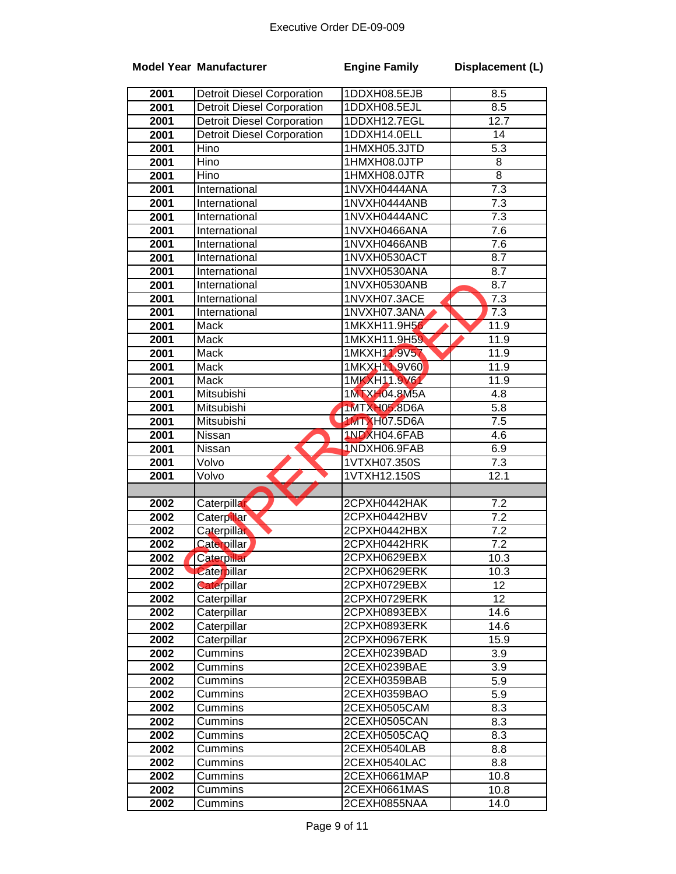|      | <b>Model Year Manufacturer</b>    | <b>Engine Family</b> | Displacement (L) |
|------|-----------------------------------|----------------------|------------------|
| 2001 | <b>Detroit Diesel Corporation</b> | 1DDXH08.5EJB         | 8.5              |
| 2001 | <b>Detroit Diesel Corporation</b> | 1DDXH08.5EJL         | 8.5              |
| 2001 | <b>Detroit Diesel Corporation</b> | 1DDXH12.7EGL         | 12.7             |
| 2001 | <b>Detroit Diesel Corporation</b> | 1DDXH14.0ELL         | 14               |
| 2001 | <b>Hino</b>                       | 1HMXH05.3JTD         | $\overline{5.3}$ |
| 2001 | Hino                              | 1HMXH08.0JTP         | 8                |
| 2001 | Hino                              | 1HMXH08.0JTR         | $\overline{8}$   |
| 2001 | International                     | 1NVXH0444ANA         | $\overline{7.3}$ |
| 2001 | International                     | 1NVXH0444ANB         | 7.3              |
| 2001 | International                     | 1NVXH0444ANC         | $\overline{7.3}$ |
| 2001 | International                     | 1NVXH0466ANA         | 7.6              |
| 2001 | International                     | 1NVXH0466ANB         | 7.6              |
| 2001 | International                     | 1NVXH0530ACT         | 8.7              |
| 2001 | International                     | 1NVXH0530ANA         | $\overline{8.7}$ |
| 2001 | International                     | 1NVXH0530ANB         | 8.7              |
| 2001 | International                     | 1NVXH07.3ACE         | 7.3              |
| 2001 | International                     | 1NVXH07.3ANA         | $\overline{7.3}$ |
| 2001 | Mack                              | 1MKXH11.9H56         | 11.9             |
| 2001 | <b>Mack</b>                       | 1MKXH11.9H59         | 11.9             |
| 2001 | Mack                              | 1MKXH11.9V57         | 11.9             |
| 2001 | Mack                              | 1MKXH1 9V60          | 11.9             |
| 2001 | Mack                              | 1MKXH11.9V61         | 11.9             |
| 2001 | Mitsubishi                        | 1MTXH04.8M5A         | 4.8              |
| 2001 | Mitsubishi                        | 1MTXH05.8D6A         | 5.8              |
| 2001 | Mitsubishi                        | <b>1MTXH07.5D6A</b>  | 7.5              |
| 2001 | Nissan                            | 1NDXH04.6FAB         | 4.6              |
| 2001 | Nissan                            | 1NDXH06.9FAB         | 6.9              |
| 2001 | Volvo                             | 1VTXH07.350S         | 7.3              |
| 2001 | Volvo                             | 1VTXH12.150S         | 12.1             |
|      |                                   |                      |                  |
| 2002 | Caterpillar                       | 2CPXH0442HAK         | 7.2              |
| 2002 | <b>Caterpillar</b>                | 2CPXH0442HBV         | 7.2              |
| 2002 | Caterpillar                       | 2CPXH0442HBX         | 7.2              |
| 2002 | <b>Caterpillar</b>                | 2CPXH0442HRK         | 7.2              |
| 2002 | Caterpillar                       | 2CPXH0629EBX         | 10.3             |
| 2002 | Caterpillar                       | 2CPXH0629ERK         | 10.3             |
| 2002 | Caterpillar                       | 2CPXH0729EBX         | 12 <sup>2</sup>  |
| 2002 | Caterpillar                       | 2CPXH0729ERK         | 12               |
| 2002 | Caterpillar                       | 2CPXH0893EBX         | 14.6             |
| 2002 | Caterpillar                       | 2CPXH0893ERK         | 14.6             |
| 2002 | Caterpillar                       | 2CPXH0967ERK         | 15.9             |
| 2002 | Cummins                           | 2CEXH0239BAD         | 3.9              |
| 2002 | Cummins                           | 2CEXH0239BAE         | 3.9              |
| 2002 | Cummins                           | 2CEXH0359BAB         | $5.\overline{9}$ |
| 2002 | Cummins                           | 2CEXH0359BAO         | 5.9              |
| 2002 | Cummins                           | 2CEXH0505CAM         | 8.3              |
| 2002 | Cummins                           | 2CEXH0505CAN         | 8.3              |
| 2002 | Cummins                           | 2CEXH0505CAQ         | 8.3              |
| 2002 | Cummins                           | 2CEXH0540LAB         | 8.8              |
| 2002 | Cummins                           | 2CEXH0540LAC         | 8.8              |
| 2002 | Cummins                           | 2CEXH0661MAP         | 10.8             |
| 2002 | Cummins                           | 2CEXH0661MAS         | 10.8             |
| 2002 | Cummins                           | 2CEXH0855NAA         | 14.0             |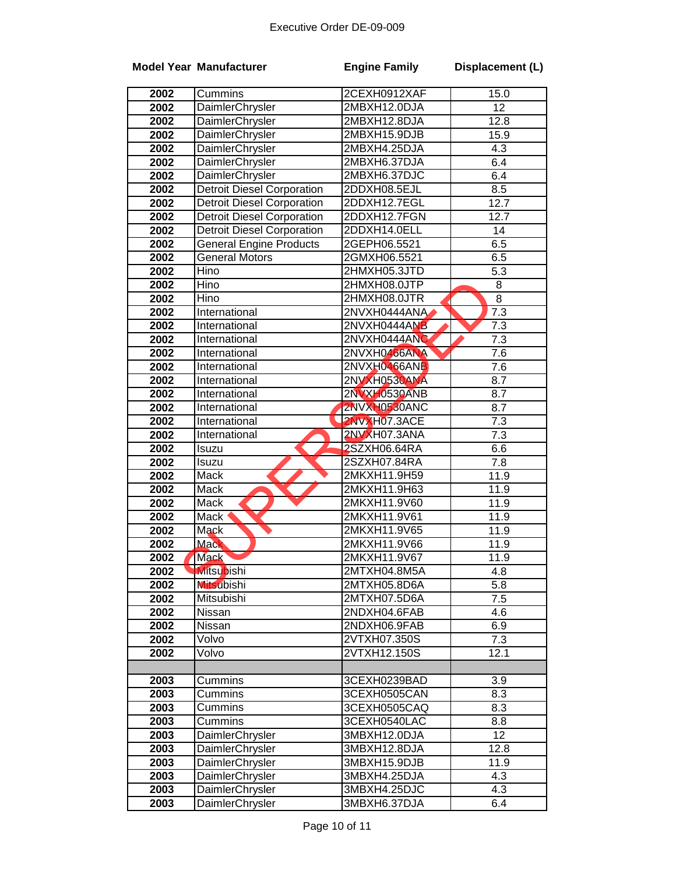|              | <b>Model Year Manufacturer</b>    | <b>Engine Family</b>         | Displacement (L) |
|--------------|-----------------------------------|------------------------------|------------------|
| 2002         | Cummins                           | 2CEXH0912XAF                 | 15.0             |
| 2002         | <b>DaimlerChrysler</b>            | 2MBXH12.0DJA                 | $\overline{12}$  |
| 2002         | DaimlerChrysler                   | 2MBXH12.8DJA                 | 12.8             |
| 2002         | <b>DaimlerChrysler</b>            | 2MBXH15.9DJB                 | 15.9             |
| 2002         | <b>DaimlerChrysler</b>            | 2MBXH4.25DJA                 | 4.3              |
| 2002         | DaimlerChrysler                   | 2MBXH6.37DJA                 | 6.4              |
| 2002         | <b>DaimlerChrysler</b>            | 2MBXH6.37DJC                 | 6.4              |
| 2002         | Detroit Diesel Corporation        | 2DDXH08.5EJL                 | 8.5              |
| 2002         | <b>Detroit Diesel Corporation</b> | 2DDXH12.7EGL                 | 12.7             |
| 2002         | <b>Detroit Diesel Corporation</b> | 2DDXH12.7FGN                 | 12.7             |
| 2002         | <b>Detroit Diesel Corporation</b> | 2DDXH14.0ELL                 | 14               |
| 2002         | <b>General Engine Products</b>    | 2GEPH06.5521                 | 6.5              |
| 2002         | <b>General Motors</b>             | 2GMXH06.5521                 | 6.5              |
| 2002         | Hino                              | 2HMXH05.3JTD                 | 5.3              |
| 2002         | Hino                              | 2HMXH08.0JTP                 | 8                |
| 2002         | Hino                              | 2HMXH08.0JTR                 | $\overline{8}$   |
| 2002         | International                     | 2NVXH0444ANA                 | 7.3              |
| 2002         | International                     | 2NVXH0444ANB                 | 7.3              |
| 2002         | International                     | 2NVXH0444ANC                 | 7.3              |
| 2002         | International                     | 2NVXH0466ANA                 | $\overline{7.6}$ |
| 2002         | International                     | 2NVXH0466ANB                 | 7.6              |
| 2002         | International                     | 2NVXH0530ANA                 | 8.7              |
| 2002         | International                     | 2NVXH0530ANB                 | 8.7              |
| 2002         | International                     | 2NVXH0530ANC                 | 8.7              |
| 2002         | International                     | 2NVXH07.3ACE                 | 7.3              |
| 2002         | International                     | 2NVXH07.3ANA                 | 7.3              |
| 2002         | Isuzu                             | 2SZXH06.64RA                 | 6.6              |
| 2002         | Isuzu                             | 2SZXH07.84RA                 | 7.8              |
| 2002<br>2002 | Mack<br>Mack                      | 2MKXH11.9H59<br>2MKXH11.9H63 | 11.9<br>11.9     |
| 2002         | Mack                              | 2MKXH11.9V60                 | 11.9             |
| 2002         | Mack                              | 2MKXH11.9V61                 | 11.9             |
| 2002         | Mack                              | 2MKXH11.9V65                 | 11.9             |
| 2002         | <b>Mack</b>                       | 2MKXH11.9V66                 | 11.9             |
| 2002         | <b>Mack</b>                       | 2MKXH11.9V67                 | 11.9             |
| 2002         | <b>Mitsubishi</b>                 | 2MTXH04.8M5A                 | 4.8              |
| 2002         | <b>Mitsubishi</b>                 | 2MTXH05.8D6A                 | 5.8              |
| 2002         | Mitsubishi                        | 2MTXH07.5D6A                 | 7.5              |
| 2002         | Nissan                            | 2NDXH04.6FAB                 | 4.6              |
| 2002         | Nissan                            | 2NDXH06.9FAB                 | 6.9              |
| 2002         | Volvo                             | 2VTXH07.350S                 | 7.3              |
| 2002         | Volvo                             | 2VTXH12.150S                 | 12.1             |
|              |                                   |                              |                  |
| 2003         | Cummins                           | 3CEXH0239BAD                 | 3.9              |
| 2003         | Cummins                           | 3CEXH0505CAN                 | 8.3              |
| 2003         | Cummins                           | 3CEXH0505CAQ                 | 8.3              |
| 2003         | Cummins                           | 3CEXH0540LAC                 | 8.8              |
| 2003         | DaimlerChrysler                   | 3MBXH12.0DJA                 | 12               |
| 2003         | DaimlerChrysler                   | 3MBXH12.8DJA                 | 12.8             |
| 2003         | DaimlerChrysler                   | 3MBXH15.9DJB                 | 11.9             |
| 2003         | DaimlerChrysler                   | 3MBXH4.25DJA                 | 4.3              |
| 2003         | DaimlerChrysler                   | 3MBXH4.25DJC                 | 4.3              |
| 2003         | DaimlerChrysler                   | 3MBXH6.37DJA                 | 6.4              |